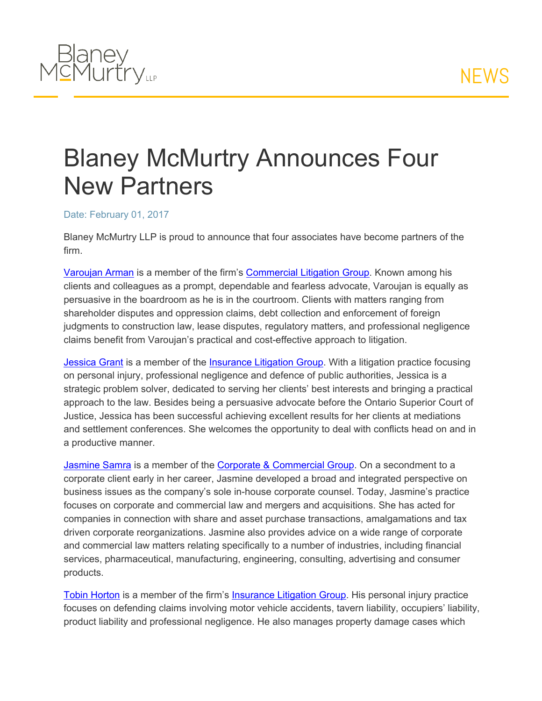

## Blaney McMurtry Announces Four New Partners

## Date: February 01, 2017

Blaney McMurtry LLP is proud to announce that four associates have become partners of the firm.

[Varoujan](http://www.blaney.com/lawyers/varoujan-arman) [Arman](http://www.blaney.com/lawyers/varoujan-arman) is a member of the firm's [Commercial](http://www.blaney.com/practice-areas/commercial-litigation) [Litigation](http://www.blaney.com/practice-areas/commercial-litigation) [Group](http://www.blaney.com/practice-areas/commercial-litigation). Known among his clients and colleagues as a prompt, dependable and fearless advocate, Varoujan is equally as persuasive in the boardroom as he is in the courtroom. Clients with matters ranging from shareholder disputes and oppression claims, debt collection and enforcement of foreign judgments to construction law, lease disputes, regulatory matters, and professional negligence claims benefit from Varoujan's practical and cost-effective approach to litigation.

[Jessica](http://www.blaney.com/lawyers/jessica-grant) [Grant](http://www.blaney.com/lawyers/jessica-grant) is a member of the [Insurance](http://www.blaney.com/practice-areas/insurance-litigation) [Litigation](http://www.blaney.com/practice-areas/insurance-litigation) [Group](http://www.blaney.com/practice-areas/insurance-litigation). With a litigation practice focusing on personal injury, professional negligence and defence of public authorities, Jessica is a strategic problem solver, dedicated to serving her clients' best interests and bringing a practical approach to the law. Besides being a persuasive advocate before the Ontario Superior Court of Justice, Jessica has been successful achieving excellent results for her clients at mediations and settlement conferences. She welcomes the opportunity to deal with conflicts head on and in a productive manner.

[Jasmine](http://www.blaney.com/lawyers/jasmine-samra) [Samra](http://www.blaney.com/lawyers/jasmine-samra) is a member of the [Corporate](http://www.blaney.com/practice-areas/corporate-commercial) [&](http://www.blaney.com/practice-areas/corporate-commercial) [Commercial](http://www.blaney.com/practice-areas/corporate-commercial) [Group](http://www.blaney.com/practice-areas/corporate-commercial). On a secondment to a corporate client early in her career, Jasmine developed a broad and integrated perspective on business issues as the company's sole in-house corporate counsel. Today, Jasmine's practice focuses on corporate and commercial law and mergers and acquisitions. She has acted for companies in connection with share and asset purchase transactions, amalgamations and tax driven corporate reorganizations. Jasmine also provides advice on a wide range of corporate and commercial law matters relating specifically to a number of industries, including financial services, pharmaceutical, manufacturing, engineering, consulting, advertising and consumer products.

[Tobin](http://www.blaney.com/lawyers/tobin-horton) [Horton](http://www.blaney.com/lawyers/tobin-horton) is a member of the firm's [Insurance](http://www.blaney.com/practice-areas/insurance-litigation) [Litigation](http://www.blaney.com/practice-areas/insurance-litigation) [Group](http://www.blaney.com/practice-areas/insurance-litigation). His personal injury practice focuses on defending claims involving motor vehicle accidents, tavern liability, occupiers' liability, product liability and professional negligence. He also manages property damage cases which